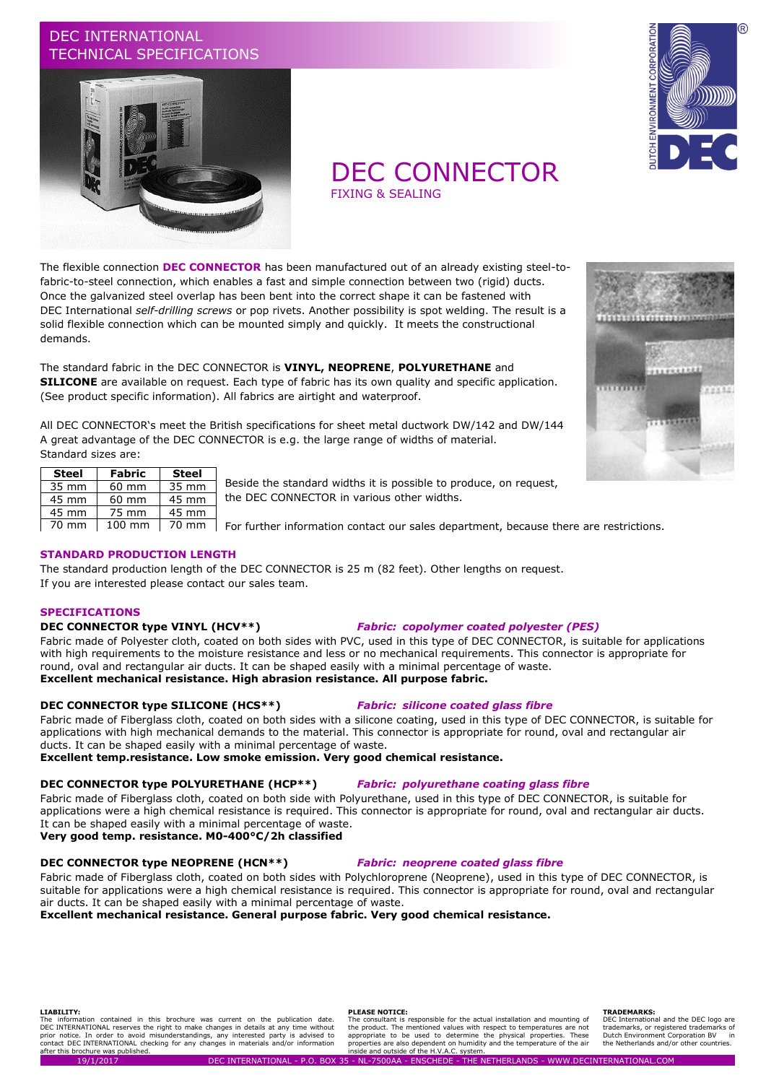## DEC INTERNATIONAL TECHNICAL SPECIFICATIONS



# DEC CONNECTOR

The flexible connection **DEC CONNECTOR** has been manufactured out of an already existing steel-tofabric-to-steel connection, which enables a fast and simple connection between two (rigid) ducts. Once the galvanized steel overlap has been bent into the correct shape it can be fastened with DEC International *self-drilling screws* or pop rivets. Another possibility is spot welding. The result is a solid flexible connection which can be mounted simply and quickly. It meets the constructional demands.

The standard fabric in the DEC CONNECTOR is **VINYL, NEOPRENE**, **POLYURETHANE** and **SILICONE** are available on request. Each type of fabric has its own quality and specific application. (See product specific information). All fabrics are airtight and waterproof.

All DEC CONNECTOR's meet the British specifications for sheet metal ductwork DW/142 and DW/144 A great advantage of the DEC CONNECTOR is e.g. the large range of widths of material. Standard sizes are:

| <b>Steel</b>    | Fabric          | <b>Steel</b>    |
|-----------------|-----------------|-----------------|
| 35 mm           | 60 mm           | 35 mm           |
| 45 mm           | $60 \text{ mm}$ | 45 mm           |
| 45 mm           | 75 mm           | 45 mm           |
| $70 \text{ mm}$ | 100 mm          | $70 \text{ mm}$ |

Beside the standard widths it is possible to produce, on request, the DEC CONNECTOR in various other widths.

For further information contact our sales department, because there are restrictions.

## **STANDARD PRODUCTION LENGTH**

The standard production length of the DEC CONNECTOR is 25 m (82 feet). Other lengths on request. If you are interested please contact our sales team.

### **SPECIFICATIONS**

## **DEC CONNECTOR type VINYL (HCV\*\*)** *Fabric: copolymer coated polyester (PES)*

Fabric made of Polyester cloth, coated on both sides with PVC, used in this type of DEC CONNECTOR, is suitable for applications with high requirements to the moisture resistance and less or no mechanical requirements. This connector is appropriate for round, oval and rectangular air ducts. It can be shaped easily with a minimal percentage of waste. **Excellent mechanical resistance. High abrasion resistance. All purpose fabric.**

### **DEC CONNECTOR type SILICONE (HCS\*\*)** *Fabric: silicone coated glass fibre*

Fabric made of Fiberglass cloth, coated on both sides with a silicone coating, used in this type of DEC CONNECTOR, is suitable for applications with high mechanical demands to the material. This connector is appropriate for round, oval and rectangular air ducts. It can be shaped easily with a minimal percentage of waste.

**Excellent temp.resistance. Low smoke emission. Very good chemical resistance.**

#### **DEC CONNECTOR type POLYURETHANE (HCP\*\*)** *Fabric: polyurethane coating glass fibre*

Fabric made of Fiberglass cloth, coated on both side with Polyurethane, used in this type of DEC CONNECTOR, is suitable for applications were a high chemical resistance is required. This connector is appropriate for round, oval and rectangular air ducts. It can be shaped easily with a minimal percentage of waste.

**Very good temp. resistance. M0-400°C/2h classified**

## **DEC CONNECTOR type NEOPRENE (HCN\*\*)** *Fabric: neoprene coated glass fibre*

Fabric made of Fiberglass cloth, coated on both sides with Polychloroprene (Neoprene), used in this type of DEC CONNECTOR, is suitable for applications were a high chemical resistance is required. This connector is appropriate for round, oval and rectangular air ducts. It can be shaped easily with a minimal percentage of waste.

**Excellent mechanical resistance. General purpose fabric. Very good chemical resistance.**

#### **LIABILITY:**

The information contained in this brochure was current on the publication date.<br>DEC\_INTERNATIONAL\_reserves\_the\_right\_to\_make\_changes\_in\_details\_at\_any\_time\_without\_<br>prior\_notice.\_In\_order\_to\_avoid\_misunderstandings,\_any\_in after this brochure was published.

#### **PLEASE NOTICE:**

The consultant is responsible for the actual installation and mounting of the product. The mentioned values with respect to temperatures are not appropriate to be used to determine the physical properties. These properties are also dependent on humidity and the temperature of the air inside and outside of the H.V.A.C. system.

#### **TRADEMARKS:**

DEC International and the DEC logo are<br>trademarks, or registered trademarks of trademarks, or registered trademarks of Dutch Environment Corporation BV in the Netherlands and/or other countries.



 $1111111111$ 

# FIXING & SEALING





88334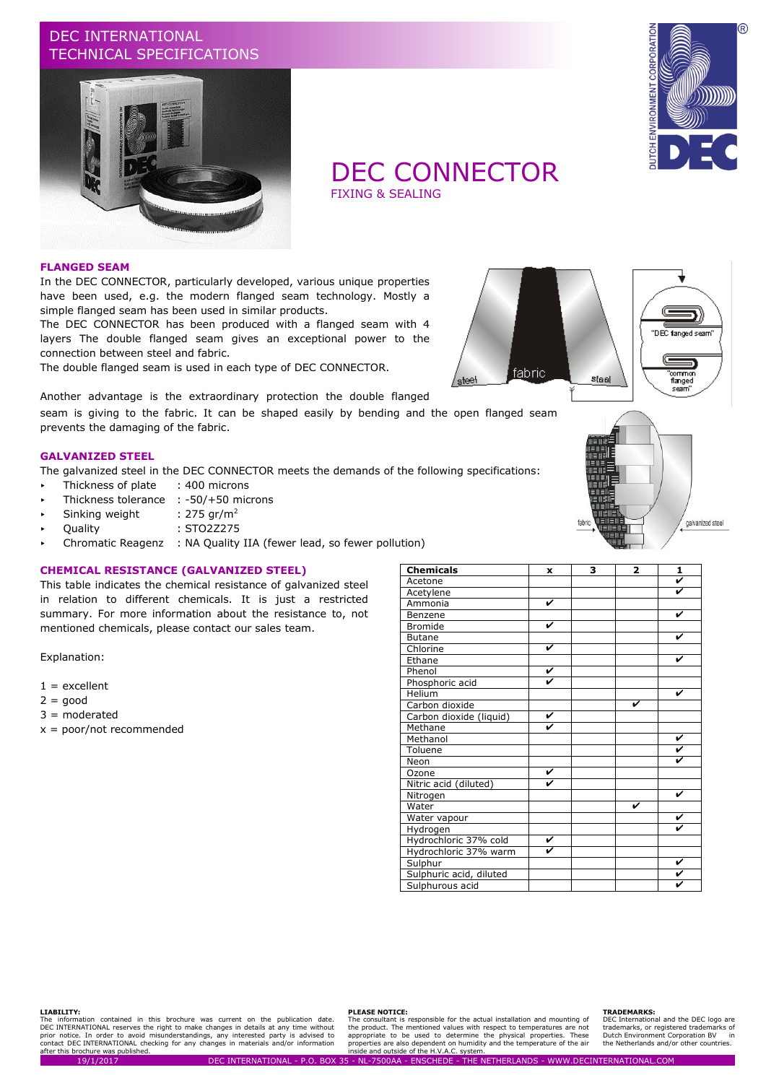## DEC INTERNATIONAL TECHNICAL SPECIFICATIONS





## DEC CONNECTOR

FIXING & SEALING

#### **FLANGED SEAM**

In the DEC CONNECTOR, particularly developed, various unique properties have been used, e.g. the modern flanged seam technology. Mostly a simple flanged seam has been used in similar products.

The DEC CONNECTOR has been produced with a flanged seam with 4 layers The double flanged seam gives an exceptional power to the connection between steel and fabric.

The double flanged seam is used in each type of DEC CONNECTOR.



seam is giving to the fabric. It can be shaped easily by bending and the open flanged seam prevents the damaging of the fabric.

## **GALVANIZED STEEL**

The galvanized steel in the DEC CONNECTOR meets the demands of the following specifications:

- > Thickness of plate : 400 microns
- Thickness tolerance : -50/+50 microns
- Sinking weight :  $275$  gr/m<sup>2</sup>
- Quality : STO2Z275
- Chromatic Reagenz : NA Quality IIA (fewer lead, so fewer pollution)

### **CHEMICAL RESISTANCE (GALVANIZED STEEL)**

This table indicates the chemical resistance of galvanized steel in relation to different chemicals. It is just a restricted summary. For more information about the resistance to, not mentioned chemicals, please contact our sales team.

Explanation:

- $1 =$  excellent
- $2 = good$
- 3 = moderated
- x = poor/not recommended



"DBC fanged seam

'common<br>'flanged

 $rac{1}{1}$ 

| <b>Chemicals</b>        | X | 3 | $\overline{\mathbf{2}}$ | 1 |
|-------------------------|---|---|-------------------------|---|
| Acetone                 |   |   |                         | V |
| Acetylene               |   |   |                         | V |
| Ammonia                 | V |   |                         |   |
| Benzene                 |   |   |                         | V |
| <b>Bromide</b>          | V |   |                         |   |
| <b>Butane</b>           |   |   |                         | V |
| Chlorine                | V |   |                         |   |
| Ethane                  |   |   |                         | V |
| Phenol                  | V |   |                         |   |
| Phosphoric acid         | ✓ |   |                         |   |
| Helium                  |   |   |                         | v |
| Carbon dioxide          |   |   | V                       |   |
| Carbon dioxide (liquid) | V |   |                         |   |
| Methane                 | ⊽ |   |                         |   |
| Methanol                |   |   |                         | V |
| Toluene                 |   |   |                         | V |
| Neon                    |   |   |                         |   |
| Ozone                   | v |   |                         |   |
| Nitric acid (diluted)   | ⊽ |   |                         |   |
| Nitrogen                |   |   |                         | V |
| Water                   |   |   | ✔                       |   |
| Water vapour            |   |   |                         | V |
| Hydrogen                |   |   |                         |   |
| Hydrochloric 37% cold   | V |   |                         |   |
| Hydrochloric 37% warm   | v |   |                         |   |
| Sulphur                 |   |   |                         | V |
| Sulphuric acid, diluted |   |   |                         | V |
| Sulphurous acid         |   |   |                         |   |

fabric

steel

#### **LIABILITY:**

The information contained in this brochure was current on the publication date.<br>DEC\_INTERNATIONAL\_reserves\_the\_right\_to\_make\_changes\_in\_details\_at\_any\_time\_without\_<br>prior\_notice.\_In\_order\_to\_avoid\_misunderstandings,\_any\_in

#### **PLEASE NOTICE:**

The consultant is responsible for the actual installation and mounting of the product. The mentioned values with respect to temperatures are not appropriate to be used to determine the physical properties. These properties are also dependent on humidity and the temperature of the air inside and outside of the H.V.A.C. system.

#### **TRADEMARKS:**

DEC International and the DEC logo are<br>trademarks, or registered trademarks of trademarks, or registered trademarks of Dutch Environment Corporation BV in the Netherlands and/or other countries.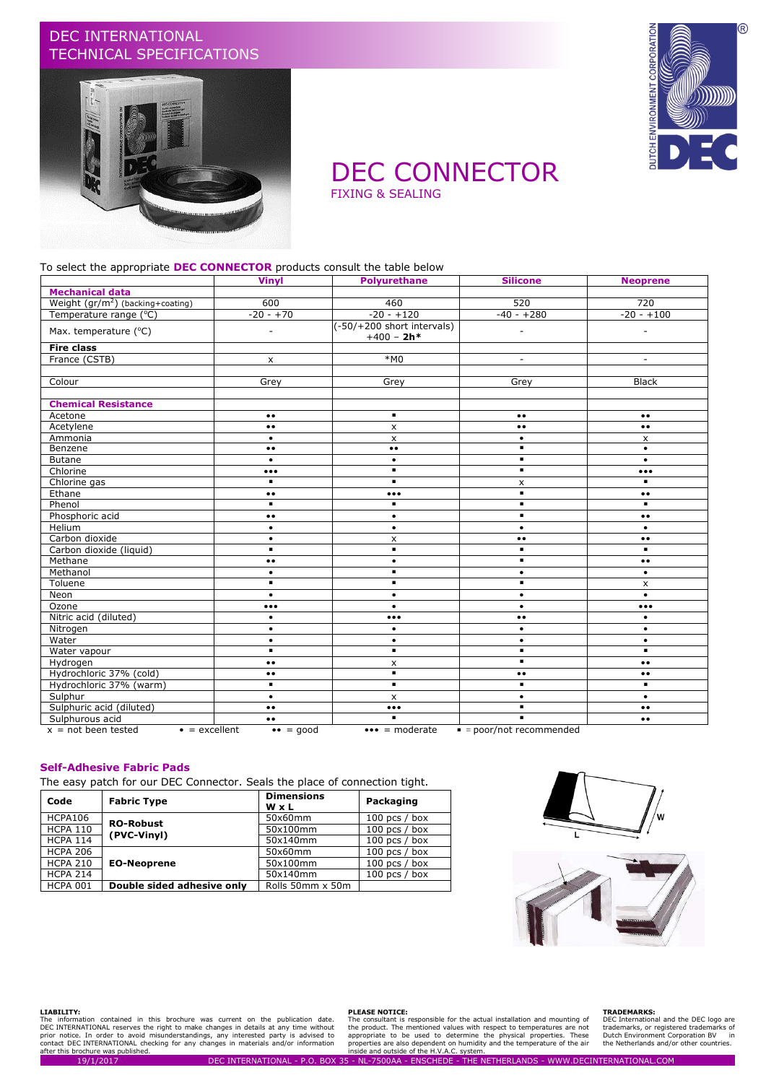## DEC INTERNATIONAL TECHNICAL SPECIFICATIONS





## DEC CONNECTOR FIXING & SEALING

#### To select the appropriate **DEC CONNECTOR** products consult the table below

|                                                | <b>Vinyl</b>                    | <b>Polyurethane</b>                        | <b>Silicone</b>          | <b>Neoprene</b>         |
|------------------------------------------------|---------------------------------|--------------------------------------------|--------------------------|-------------------------|
| <b>Mechanical data</b>                         |                                 |                                            |                          |                         |
| Weight $(gr/m^2)$ (backing+coating)            | 600                             | 460                                        | 520                      | 720                     |
| Temperature range (°C)                         | $-20 - +70$                     | $-20 - +120$                               | $-40 - +280$             | $-20 - +100$            |
| Max. temperature (°C)                          |                                 | (-50/+200 short intervals)<br>$+400 - 2h*$ | ÷,                       |                         |
| <b>Fire class</b>                              |                                 |                                            |                          |                         |
| France (CSTB)                                  | $\pmb{\times}$                  | $*MO$                                      | ٠                        |                         |
|                                                |                                 |                                            |                          |                         |
| Colour                                         | Grey                            | Grey                                       | Grey                     | <b>Black</b>            |
|                                                |                                 |                                            |                          |                         |
| <b>Chemical Resistance</b>                     |                                 |                                            |                          |                         |
| Acetone                                        | $\bullet\,\bullet$              | $\blacksquare$                             | $\bullet\bullet$         | $\bullet\,\bullet$      |
| Acetylene                                      | $\bullet \bullet$               | x                                          | $\bullet \bullet$        | $\bullet\bullet$        |
| Ammonia                                        | $\bullet$                       | $\mathsf{x}$                               | $\bullet$                | $\times$                |
| Benzene                                        | $\bullet\,\bullet$              | $\bullet\bullet$                           | $\blacksquare$           | $\bullet$               |
| <b>Butane</b>                                  | $\bullet$                       | $\bullet$                                  | ٠                        | $\bullet$               |
| Chlorine                                       | $\bullet\bullet\bullet$         | $\blacksquare$                             | ٠                        | $\bullet\bullet\bullet$ |
| Chlorine gas                                   | $\blacksquare$                  | $\blacksquare$                             | X                        | ٠.                      |
| Ethane                                         | $\bullet\bullet$                | $\bullet\bullet\bullet$                    | ٠                        | $\bullet\bullet$        |
| Phenol                                         | ٠.                              | $\blacksquare$                             | ٠                        |                         |
| Phosphoric acid                                | $\bullet\bullet$                | $\bullet$                                  | ٠                        | $\bullet\,\bullet$      |
| Helium                                         | $\bullet$                       | $\bullet$                                  | $\bullet$                | $\bullet$               |
| Carbon dioxide                                 | $\bullet$                       | x                                          | $\bullet\,\bullet$       | $\bullet\,\bullet$      |
| Carbon dioxide (liquid)                        | ٠                               | $\blacksquare$                             | ٠                        |                         |
| Methane                                        | $\bullet\bullet$                | $\bullet$                                  | ٠                        | $\bullet\bullet$        |
| Methanol                                       | $\bullet$                       | ٠                                          | $\bullet$                | $\bullet$               |
| Toluene                                        | $\blacksquare$                  | $\blacksquare$                             | $\blacksquare$           | $\pmb{\mathsf{x}}$      |
| Neon                                           | $\bullet$                       | $\bullet$                                  | $\bullet$                | $\bullet$               |
| Ozone                                          | $\bullet\bullet\bullet$         | $\bullet$                                  | $\bullet$                | $\bullet\bullet\bullet$ |
| Nitric acid (diluted)                          | $\bullet$                       | $\bullet\bullet\bullet$                    | $\bullet$<br>$\bullet$   | $\bullet$               |
| Nitrogen                                       | $\bullet$                       | $\bullet$                                  | $\bullet$                | $\bullet$               |
| Water                                          | $\bullet$                       | $\bullet$                                  | $\bullet$                | $\bullet$               |
| Water vapour                                   | ٠.                              | $\blacksquare$                             | ٠                        | $\blacksquare$          |
| Hydrogen                                       | $\bullet \bullet$               | x                                          | $\blacksquare$           | $\bullet\,\bullet$      |
| Hydrochloric 37% (cold)                        | $\bullet \bullet$               | $\blacksquare$                             | $\bullet\bullet$         | $\bullet\,\bullet$      |
| Hydrochloric 37% (warm)                        | ٠.                              | $\blacksquare$                             | ٠                        | $\blacksquare$          |
| Sulphur                                        | $\bullet$                       | $\mathsf{x}$                               | $\bullet$                | $\bullet$               |
| Sulphuric acid (diluted)                       | $\bullet\bullet$                | $\bullet\bullet\bullet$                    | $\blacksquare$           | $\bullet\bullet$        |
| Sulphurous acid                                | $\bullet \bullet$               | $\blacksquare$                             | $\blacksquare$           | $\bullet\bullet$        |
| $x = not been tested$<br>$\bullet$ = excellent | $\bullet \bullet = \text{good}$ | $\bullet \bullet \bullet =$ moderate       | $=$ poor/not recommended |                         |

#### **Self-Adhesive Fabric Pads**

The easy patch for our DEC Connector. Seals the place of connection tight.

| Code            | <b>Fabric Type</b>         | <b>Dimensions</b><br>WxL | Packaging       |
|-----------------|----------------------------|--------------------------|-----------------|
| HCPA106         | <b>RO-Robust</b>           | 50x60mm                  | 100 pcs $/$ box |
| <b>HCPA 110</b> | (PVC-Vinvl)                | 50x100mm                 | 100 pcs $/$ box |
| <b>HCPA 114</b> |                            | 50x140mm                 | 100 pcs $/$ box |
| <b>HCPA 206</b> |                            | 50x60mm                  | 100 pcs $/$ box |
| <b>HCPA 210</b> | <b>EO-Neoprene</b>         | 50x100mm                 | $100$ pcs / box |
| <b>HCPA 214</b> |                            | 50x140mm                 | 100 pcs $/$ box |
| <b>HCPA 001</b> | Double sided adhesive only | Rolls 50mm x 50m         |                 |





#### **LIABILITY:**

The information contained in this brochure was current on the publication date.<br>DEC INTERNATIONAL reserves the right to make changes in details at any time without<br>prior notice. In order to avoid misunderstandings, any int nation contained in this brochure was current on the publication date. The consultant is responsible for the actual installation and mounting of DEC International and<br>NATIONAL reserves the right to make changes in details

#### **PLEASE NOTICE:**

#### **TRADEMARKS:**

DEC International and the DEC logo are trademarks, or registered trademarks of Dutch Environment Corporation BV in the Netherlands and/or other countries.